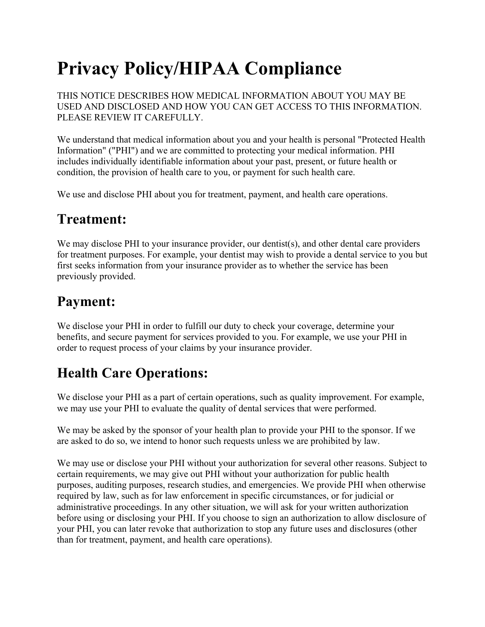# **Privacy Policy/HIPAA Compliance**

THIS NOTICE DESCRIBES HOW MEDICAL INFORMATION ABOUT YOU MAY BE USED AND DISCLOSED AND HOW YOU CAN GET ACCESS TO THIS INFORMATION. PLEASE REVIEW IT CAREFULLY.

We understand that medical information about you and your health is personal "Protected Health Information" ("PHI") and we are committed to protecting your medical information. PHI includes individually identifiable information about your past, present, or future health or condition, the provision of health care to you, or payment for such health care.

We use and disclose PHI about you for treatment, payment, and health care operations.

#### **Treatment:**

We may disclose PHI to your insurance provider, our dentist(s), and other dental care providers for treatment purposes. For example, your dentist may wish to provide a dental service to you but first seeks information from your insurance provider as to whether the service has been previously provided.

### **Payment:**

We disclose your PHI in order to fulfill our duty to check your coverage, determine your benefits, and secure payment for services provided to you. For example, we use your PHI in order to request process of your claims by your insurance provider.

## **Health Care Operations:**

We disclose your PHI as a part of certain operations, such as quality improvement. For example, we may use your PHI to evaluate the quality of dental services that were performed.

We may be asked by the sponsor of your health plan to provide your PHI to the sponsor. If we are asked to do so, we intend to honor such requests unless we are prohibited by law.

We may use or disclose your PHI without your authorization for several other reasons. Subject to certain requirements, we may give out PHI without your authorization for public health purposes, auditing purposes, research studies, and emergencies. We provide PHI when otherwise required by law, such as for law enforcement in specific circumstances, or for judicial or administrative proceedings. In any other situation, we will ask for your written authorization before using or disclosing your PHI. If you choose to sign an authorization to allow disclosure of your PHI, you can later revoke that authorization to stop any future uses and disclosures (other than for treatment, payment, and health care operations).